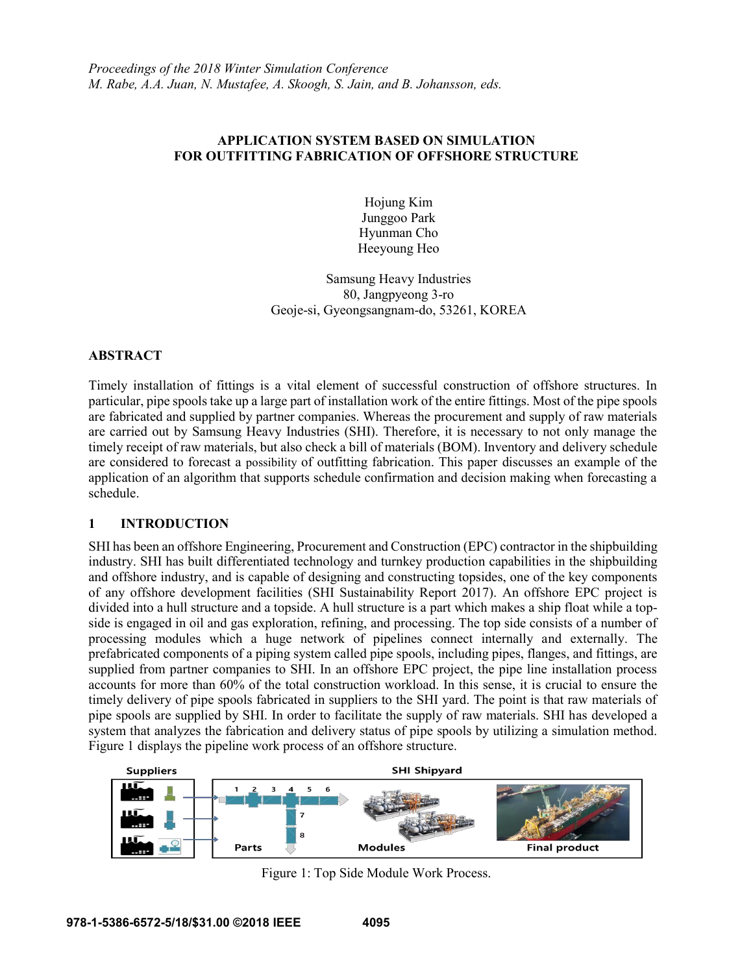# **APPLICATION SYSTEM BASED ON SIMULATION FOR OUTFITTING FABRICATION OF OFFSHORE STRUCTURE**

Hojung Kim Junggoo Park Hyunman Cho Heeyoung Heo

Samsung Heavy Industries 80, Jangpyeong 3-ro Geoje-si, Gyeongsangnam-do, 53261, KOREA

# **ABSTRACT**

Timely installation of fittings is a vital element of successful construction of offshore structures. In particular, pipe spools take up a large part of installation work of the entire fittings. Most of the pipe spools are fabricated and supplied by partner companies. Whereas the procurement and supply of raw materials are carried out by Samsung Heavy Industries (SHI). Therefore, it is necessary to not only manage the timely receipt of raw materials, but also check a bill of materials (BOM). Inventory and delivery schedule are considered to forecast a possibility of outfitting fabrication. This paper discusses an example of the application of an algorithm that supports schedule confirmation and decision making when forecasting a schedule.

# **1 INTRODUCTION**

SHI has been an offshore Engineering, Procurement and Construction (EPC) contractor in the shipbuilding industry. SHI has built differentiated technology and turnkey production capabilities in the shipbuilding and offshore industry, and is capable of designing and constructing topsides, one of the key components of any offshore development facilities (SHI Sustainability Report 2017). An offshore EPC project is divided into a hull structure and a topside. A hull structure is a part which makes a ship float while a topside is engaged in oil and gas exploration, refining, and processing. The top side consists of a number of processing modules which a huge network of pipelines connect internally and externally. The prefabricated components of a piping system called pipe spools, including pipes, flanges, and fittings, are supplied from partner companies to SHI. In an offshore EPC project, the pipe line installation process accounts for more than 60% of the total construction workload. In this sense, it is crucial to ensure the timely delivery of pipe spools fabricated in suppliers to the SHI yard. The point is that raw materials of pipe spools are supplied by SHI. In order to facilitate the supply of raw materials. SHI has developed a system that analyzes the fabrication and delivery status of pipe spools by utilizing a simulation method. Figure 1 displays the pipeline work process of an offshore structure.



Figure 1: Top Side Module Work Process.